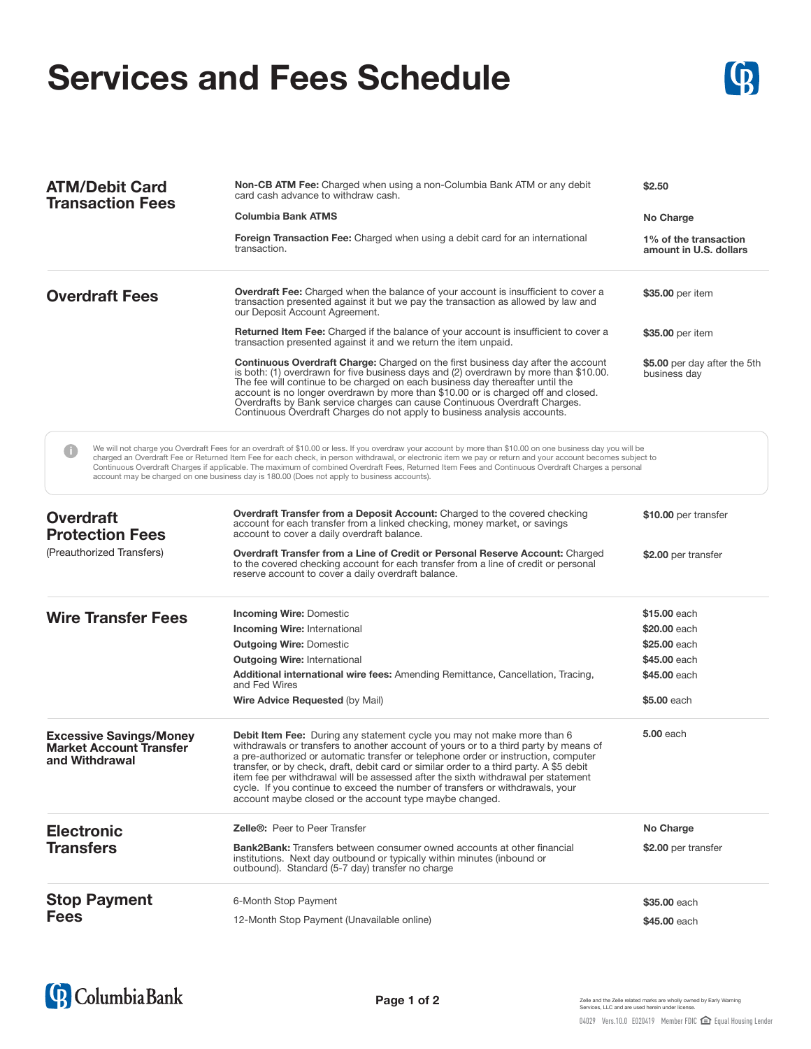## **Services and Fees Schedule**



| <b>Non-CB ATM Fee:</b> Charged when using a non-Columbia Bank ATM or any debit<br><b>ATM/Debit Card</b><br>\$2.50<br>card cash advance to withdraw cash.<br><b>Transaction Fees</b><br><b>Columbia Bank ATMS</b><br>No Charge<br><b>Foreign Transaction Fee:</b> Charged when using a debit card for an international<br>1% of the transaction<br>transaction.<br>amount in U.S. dollars<br><b>Overdraft Fee:</b> Charged when the balance of your account is insufficient to cover a<br>\$35.00 per item<br><b>Overdraft Fees</b><br>transaction presented against it but we pay the transaction as allowed by law and<br>our Deposit Account Agreement.<br><b>Returned Item Fee:</b> Charged if the balance of your account is insufficient to cover a<br>\$35.00 per item<br>transaction presented against it and we return the item unpaid.<br><b>Continuous Overdraft Charge:</b> Charged on the first business day after the account<br>\$5.00 per day after the 5th<br>is both: (1) overdrawn for five business days and (2) overdrawn by more than \$10.00.<br>business day<br>The fee will continue to be charged on each business day thereafter until the<br>account is no longer overdrawn by more than \$10.00 or is charged off and closed.<br>Overdrafts by Bank service charges can cause Continuous Overdraft Charges.<br>Continuous Overdraft Charges do not apply to business analysis accounts.<br>We will not charge you Overdraft Fees for an overdraft of \$10.00 or less. If you overdraw your account by more than \$10.00 on one business day you will be<br>$\bullet$<br>charged an Overdraft Fee or Returned Item Fee for each check, in person withdrawal, or electronic item we pay or return and your account becomes subject to<br>Continuous Overdraft Charges if applicable. The maximum of combined Overdraft Fees, Returned Item Fees and Continuous Overdraft Charges a personal<br>account may be charged on one business day is 180.00 (Does not apply to business accounts).<br><b>Overdraft Transfer from a Deposit Account:</b> Charged to the covered checking<br>\$10.00 per transfer<br><b>Overdraft</b><br>account for each transfer from a linked checking, money market, or savings<br><b>Protection Fees</b><br>account to cover a daily overdraft balance.<br>(Preauthorized Transfers)<br><b>Overdraft Transfer from a Line of Credit or Personal Reserve Account: Charged</b><br>\$2.00 per transfer<br>to the covered checking account for each transfer from a line of credit or personal<br>reserve account to cover a daily overdraft balance.<br>\$15.00 each<br><b>Incoming Wire: Domestic</b><br><b>Wire Transfer Fees</b><br>\$20.00 each<br><b>Incoming Wire: International</b><br>\$25,00 each<br><b>Outgoing Wire: Domestic</b><br>\$45,00 each<br><b>Outgoing Wire: International</b><br>\$45.00 each<br><b>Additional international wire fees:</b> Amending Remittance, Cancellation, Tracing,<br>and Fed Wires<br>Wire Advice Requested (by Mail)<br>\$5.00 each<br>5.00 each<br><b>Excessive Savings/Money</b><br><b>Debit Item Fee:</b> During any statement cycle you may not make more than 6<br>withdrawals or transfers to another account of yours or to a third party by means of<br><b>Market Account Transfer</b><br>a pre-authorized or automatic transfer or telephone order or instruction, computer<br>and Withdrawal<br>transfer, or by check, draft, debit card or similar order to a third party. A \$5 debit<br>item fee per withdrawal will be assessed after the sixth withdrawal per statement<br>cycle. If you continue to exceed the number of transfers or withdrawals, your<br>account maybe closed or the account type maybe changed.<br><b>Zelle®: Peer to Peer Transfer</b><br>No Charge<br><b>Electronic</b><br><b>Transfers</b><br><b>Bank2Bank:</b> Transfers between consumer owned accounts at other financial<br>\$2.00 per transfer<br>institutions. Next day outbound or typically within minutes (inbound or<br>outbound). Standard (5-7 day) transfer no charge<br><b>Stop Payment</b><br>6-Month Stop Payment<br>\$35.00 each<br><b>Fees</b><br>12-Month Stop Payment (Unavailable online)<br>\$45.00 each |  |  |
|---------------------------------------------------------------------------------------------------------------------------------------------------------------------------------------------------------------------------------------------------------------------------------------------------------------------------------------------------------------------------------------------------------------------------------------------------------------------------------------------------------------------------------------------------------------------------------------------------------------------------------------------------------------------------------------------------------------------------------------------------------------------------------------------------------------------------------------------------------------------------------------------------------------------------------------------------------------------------------------------------------------------------------------------------------------------------------------------------------------------------------------------------------------------------------------------------------------------------------------------------------------------------------------------------------------------------------------------------------------------------------------------------------------------------------------------------------------------------------------------------------------------------------------------------------------------------------------------------------------------------------------------------------------------------------------------------------------------------------------------------------------------------------------------------------------------------------------------------------------------------------------------------------------------------------------------------------------------------------------------------------------------------------------------------------------------------------------------------------------------------------------------------------------------------------------------------------------------------------------------------------------------------------------------------------------------------------------------------------------------------------------------------------------------------------------------------------------------------------------------------------------------------------------------------------------------------------------------------------------------------------------------------------------------------------------------------------------------------------------------------------------------------------------------------------------------------------------------------------------------------------------------------------------------------------------------------------------------------------------------------------------------------------------------------------------------------------------------------------------------------------------------------------------------------------------------------------------------------------------------------------------------------------------------------------------------------------------------------------------------------------------------------------------------------------------------------------------------------------------------------------------------------------------------------------------------------------------------------------------------------------------------------------------------------------------------------------------------------------------------------------------------------------------------------------------------------------------------------------------------------------------------------------------------------------------------------------------------------------------------------------------------------------------------------------------------------------------------------------------------------------------------------------------------------------------------------------------------|--|--|
|                                                                                                                                                                                                                                                                                                                                                                                                                                                                                                                                                                                                                                                                                                                                                                                                                                                                                                                                                                                                                                                                                                                                                                                                                                                                                                                                                                                                                                                                                                                                                                                                                                                                                                                                                                                                                                                                                                                                                                                                                                                                                                                                                                                                                                                                                                                                                                                                                                                                                                                                                                                                                                                                                                                                                                                                                                                                                                                                                                                                                                                                                                                                                                                                                                                                                                                                                                                                                                                                                                                                                                                                                                                                                                                                                                                                                                                                                                                                                                                                                                                                                                                                                                                                                     |  |  |
|                                                                                                                                                                                                                                                                                                                                                                                                                                                                                                                                                                                                                                                                                                                                                                                                                                                                                                                                                                                                                                                                                                                                                                                                                                                                                                                                                                                                                                                                                                                                                                                                                                                                                                                                                                                                                                                                                                                                                                                                                                                                                                                                                                                                                                                                                                                                                                                                                                                                                                                                                                                                                                                                                                                                                                                                                                                                                                                                                                                                                                                                                                                                                                                                                                                                                                                                                                                                                                                                                                                                                                                                                                                                                                                                                                                                                                                                                                                                                                                                                                                                                                                                                                                                                     |  |  |
|                                                                                                                                                                                                                                                                                                                                                                                                                                                                                                                                                                                                                                                                                                                                                                                                                                                                                                                                                                                                                                                                                                                                                                                                                                                                                                                                                                                                                                                                                                                                                                                                                                                                                                                                                                                                                                                                                                                                                                                                                                                                                                                                                                                                                                                                                                                                                                                                                                                                                                                                                                                                                                                                                                                                                                                                                                                                                                                                                                                                                                                                                                                                                                                                                                                                                                                                                                                                                                                                                                                                                                                                                                                                                                                                                                                                                                                                                                                                                                                                                                                                                                                                                                                                                     |  |  |
|                                                                                                                                                                                                                                                                                                                                                                                                                                                                                                                                                                                                                                                                                                                                                                                                                                                                                                                                                                                                                                                                                                                                                                                                                                                                                                                                                                                                                                                                                                                                                                                                                                                                                                                                                                                                                                                                                                                                                                                                                                                                                                                                                                                                                                                                                                                                                                                                                                                                                                                                                                                                                                                                                                                                                                                                                                                                                                                                                                                                                                                                                                                                                                                                                                                                                                                                                                                                                                                                                                                                                                                                                                                                                                                                                                                                                                                                                                                                                                                                                                                                                                                                                                                                                     |  |  |
|                                                                                                                                                                                                                                                                                                                                                                                                                                                                                                                                                                                                                                                                                                                                                                                                                                                                                                                                                                                                                                                                                                                                                                                                                                                                                                                                                                                                                                                                                                                                                                                                                                                                                                                                                                                                                                                                                                                                                                                                                                                                                                                                                                                                                                                                                                                                                                                                                                                                                                                                                                                                                                                                                                                                                                                                                                                                                                                                                                                                                                                                                                                                                                                                                                                                                                                                                                                                                                                                                                                                                                                                                                                                                                                                                                                                                                                                                                                                                                                                                                                                                                                                                                                                                     |  |  |
|                                                                                                                                                                                                                                                                                                                                                                                                                                                                                                                                                                                                                                                                                                                                                                                                                                                                                                                                                                                                                                                                                                                                                                                                                                                                                                                                                                                                                                                                                                                                                                                                                                                                                                                                                                                                                                                                                                                                                                                                                                                                                                                                                                                                                                                                                                                                                                                                                                                                                                                                                                                                                                                                                                                                                                                                                                                                                                                                                                                                                                                                                                                                                                                                                                                                                                                                                                                                                                                                                                                                                                                                                                                                                                                                                                                                                                                                                                                                                                                                                                                                                                                                                                                                                     |  |  |
|                                                                                                                                                                                                                                                                                                                                                                                                                                                                                                                                                                                                                                                                                                                                                                                                                                                                                                                                                                                                                                                                                                                                                                                                                                                                                                                                                                                                                                                                                                                                                                                                                                                                                                                                                                                                                                                                                                                                                                                                                                                                                                                                                                                                                                                                                                                                                                                                                                                                                                                                                                                                                                                                                                                                                                                                                                                                                                                                                                                                                                                                                                                                                                                                                                                                                                                                                                                                                                                                                                                                                                                                                                                                                                                                                                                                                                                                                                                                                                                                                                                                                                                                                                                                                     |  |  |
|                                                                                                                                                                                                                                                                                                                                                                                                                                                                                                                                                                                                                                                                                                                                                                                                                                                                                                                                                                                                                                                                                                                                                                                                                                                                                                                                                                                                                                                                                                                                                                                                                                                                                                                                                                                                                                                                                                                                                                                                                                                                                                                                                                                                                                                                                                                                                                                                                                                                                                                                                                                                                                                                                                                                                                                                                                                                                                                                                                                                                                                                                                                                                                                                                                                                                                                                                                                                                                                                                                                                                                                                                                                                                                                                                                                                                                                                                                                                                                                                                                                                                                                                                                                                                     |  |  |
|                                                                                                                                                                                                                                                                                                                                                                                                                                                                                                                                                                                                                                                                                                                                                                                                                                                                                                                                                                                                                                                                                                                                                                                                                                                                                                                                                                                                                                                                                                                                                                                                                                                                                                                                                                                                                                                                                                                                                                                                                                                                                                                                                                                                                                                                                                                                                                                                                                                                                                                                                                                                                                                                                                                                                                                                                                                                                                                                                                                                                                                                                                                                                                                                                                                                                                                                                                                                                                                                                                                                                                                                                                                                                                                                                                                                                                                                                                                                                                                                                                                                                                                                                                                                                     |  |  |
|                                                                                                                                                                                                                                                                                                                                                                                                                                                                                                                                                                                                                                                                                                                                                                                                                                                                                                                                                                                                                                                                                                                                                                                                                                                                                                                                                                                                                                                                                                                                                                                                                                                                                                                                                                                                                                                                                                                                                                                                                                                                                                                                                                                                                                                                                                                                                                                                                                                                                                                                                                                                                                                                                                                                                                                                                                                                                                                                                                                                                                                                                                                                                                                                                                                                                                                                                                                                                                                                                                                                                                                                                                                                                                                                                                                                                                                                                                                                                                                                                                                                                                                                                                                                                     |  |  |
|                                                                                                                                                                                                                                                                                                                                                                                                                                                                                                                                                                                                                                                                                                                                                                                                                                                                                                                                                                                                                                                                                                                                                                                                                                                                                                                                                                                                                                                                                                                                                                                                                                                                                                                                                                                                                                                                                                                                                                                                                                                                                                                                                                                                                                                                                                                                                                                                                                                                                                                                                                                                                                                                                                                                                                                                                                                                                                                                                                                                                                                                                                                                                                                                                                                                                                                                                                                                                                                                                                                                                                                                                                                                                                                                                                                                                                                                                                                                                                                                                                                                                                                                                                                                                     |  |  |
|                                                                                                                                                                                                                                                                                                                                                                                                                                                                                                                                                                                                                                                                                                                                                                                                                                                                                                                                                                                                                                                                                                                                                                                                                                                                                                                                                                                                                                                                                                                                                                                                                                                                                                                                                                                                                                                                                                                                                                                                                                                                                                                                                                                                                                                                                                                                                                                                                                                                                                                                                                                                                                                                                                                                                                                                                                                                                                                                                                                                                                                                                                                                                                                                                                                                                                                                                                                                                                                                                                                                                                                                                                                                                                                                                                                                                                                                                                                                                                                                                                                                                                                                                                                                                     |  |  |
|                                                                                                                                                                                                                                                                                                                                                                                                                                                                                                                                                                                                                                                                                                                                                                                                                                                                                                                                                                                                                                                                                                                                                                                                                                                                                                                                                                                                                                                                                                                                                                                                                                                                                                                                                                                                                                                                                                                                                                                                                                                                                                                                                                                                                                                                                                                                                                                                                                                                                                                                                                                                                                                                                                                                                                                                                                                                                                                                                                                                                                                                                                                                                                                                                                                                                                                                                                                                                                                                                                                                                                                                                                                                                                                                                                                                                                                                                                                                                                                                                                                                                                                                                                                                                     |  |  |
|                                                                                                                                                                                                                                                                                                                                                                                                                                                                                                                                                                                                                                                                                                                                                                                                                                                                                                                                                                                                                                                                                                                                                                                                                                                                                                                                                                                                                                                                                                                                                                                                                                                                                                                                                                                                                                                                                                                                                                                                                                                                                                                                                                                                                                                                                                                                                                                                                                                                                                                                                                                                                                                                                                                                                                                                                                                                                                                                                                                                                                                                                                                                                                                                                                                                                                                                                                                                                                                                                                                                                                                                                                                                                                                                                                                                                                                                                                                                                                                                                                                                                                                                                                                                                     |  |  |
|                                                                                                                                                                                                                                                                                                                                                                                                                                                                                                                                                                                                                                                                                                                                                                                                                                                                                                                                                                                                                                                                                                                                                                                                                                                                                                                                                                                                                                                                                                                                                                                                                                                                                                                                                                                                                                                                                                                                                                                                                                                                                                                                                                                                                                                                                                                                                                                                                                                                                                                                                                                                                                                                                                                                                                                                                                                                                                                                                                                                                                                                                                                                                                                                                                                                                                                                                                                                                                                                                                                                                                                                                                                                                                                                                                                                                                                                                                                                                                                                                                                                                                                                                                                                                     |  |  |
|                                                                                                                                                                                                                                                                                                                                                                                                                                                                                                                                                                                                                                                                                                                                                                                                                                                                                                                                                                                                                                                                                                                                                                                                                                                                                                                                                                                                                                                                                                                                                                                                                                                                                                                                                                                                                                                                                                                                                                                                                                                                                                                                                                                                                                                                                                                                                                                                                                                                                                                                                                                                                                                                                                                                                                                                                                                                                                                                                                                                                                                                                                                                                                                                                                                                                                                                                                                                                                                                                                                                                                                                                                                                                                                                                                                                                                                                                                                                                                                                                                                                                                                                                                                                                     |  |  |
|                                                                                                                                                                                                                                                                                                                                                                                                                                                                                                                                                                                                                                                                                                                                                                                                                                                                                                                                                                                                                                                                                                                                                                                                                                                                                                                                                                                                                                                                                                                                                                                                                                                                                                                                                                                                                                                                                                                                                                                                                                                                                                                                                                                                                                                                                                                                                                                                                                                                                                                                                                                                                                                                                                                                                                                                                                                                                                                                                                                                                                                                                                                                                                                                                                                                                                                                                                                                                                                                                                                                                                                                                                                                                                                                                                                                                                                                                                                                                                                                                                                                                                                                                                                                                     |  |  |
|                                                                                                                                                                                                                                                                                                                                                                                                                                                                                                                                                                                                                                                                                                                                                                                                                                                                                                                                                                                                                                                                                                                                                                                                                                                                                                                                                                                                                                                                                                                                                                                                                                                                                                                                                                                                                                                                                                                                                                                                                                                                                                                                                                                                                                                                                                                                                                                                                                                                                                                                                                                                                                                                                                                                                                                                                                                                                                                                                                                                                                                                                                                                                                                                                                                                                                                                                                                                                                                                                                                                                                                                                                                                                                                                                                                                                                                                                                                                                                                                                                                                                                                                                                                                                     |  |  |
|                                                                                                                                                                                                                                                                                                                                                                                                                                                                                                                                                                                                                                                                                                                                                                                                                                                                                                                                                                                                                                                                                                                                                                                                                                                                                                                                                                                                                                                                                                                                                                                                                                                                                                                                                                                                                                                                                                                                                                                                                                                                                                                                                                                                                                                                                                                                                                                                                                                                                                                                                                                                                                                                                                                                                                                                                                                                                                                                                                                                                                                                                                                                                                                                                                                                                                                                                                                                                                                                                                                                                                                                                                                                                                                                                                                                                                                                                                                                                                                                                                                                                                                                                                                                                     |  |  |
|                                                                                                                                                                                                                                                                                                                                                                                                                                                                                                                                                                                                                                                                                                                                                                                                                                                                                                                                                                                                                                                                                                                                                                                                                                                                                                                                                                                                                                                                                                                                                                                                                                                                                                                                                                                                                                                                                                                                                                                                                                                                                                                                                                                                                                                                                                                                                                                                                                                                                                                                                                                                                                                                                                                                                                                                                                                                                                                                                                                                                                                                                                                                                                                                                                                                                                                                                                                                                                                                                                                                                                                                                                                                                                                                                                                                                                                                                                                                                                                                                                                                                                                                                                                                                     |  |  |